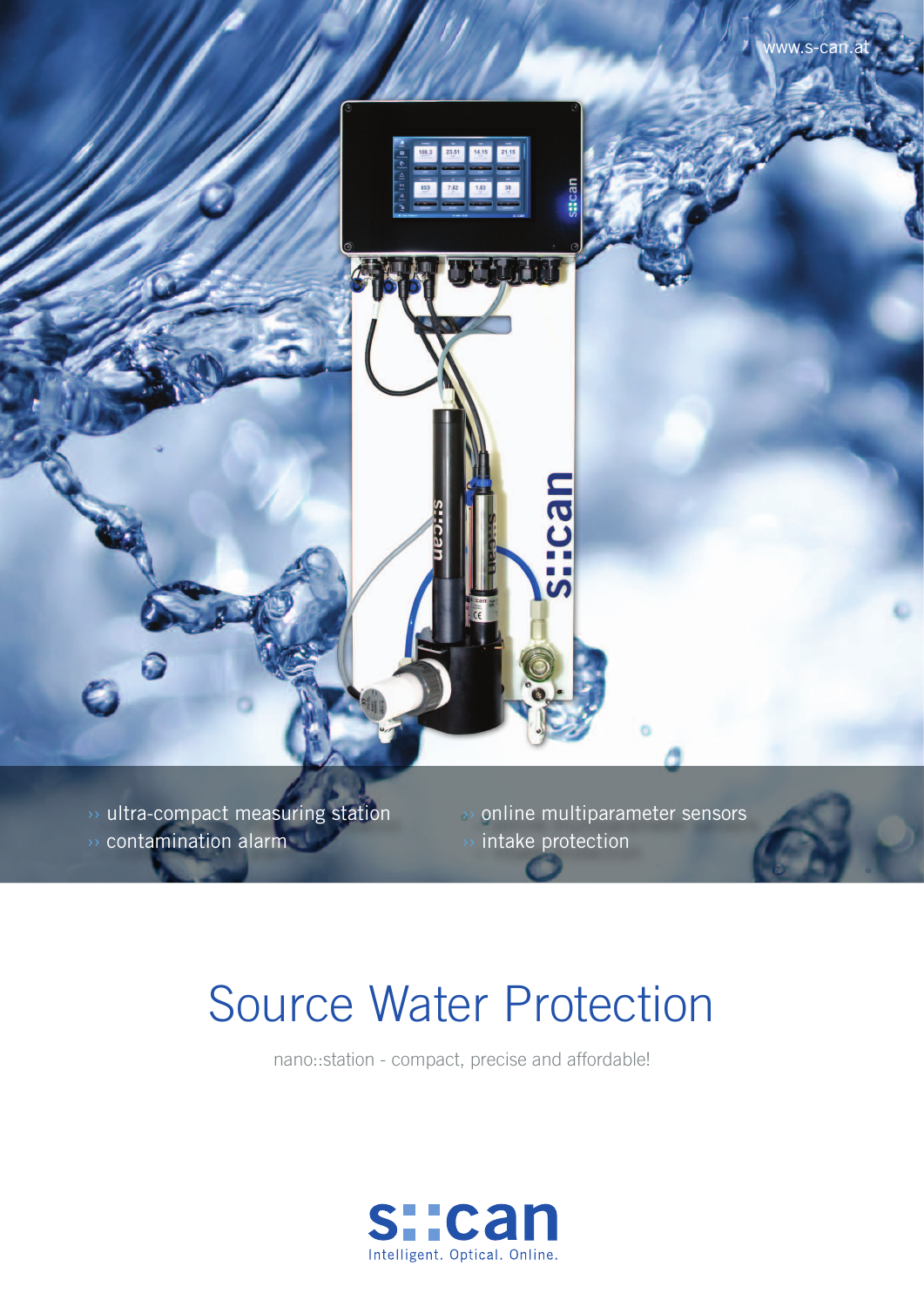www.s-can.at 108.3 23.51 14.15 21.15 mep:

 $\rightarrow$  ultra-compact measuring station contamination alarm

›› online multiparameter sensors intake protection

## Source Water Protection

nano::station - compact, precise and affordable!